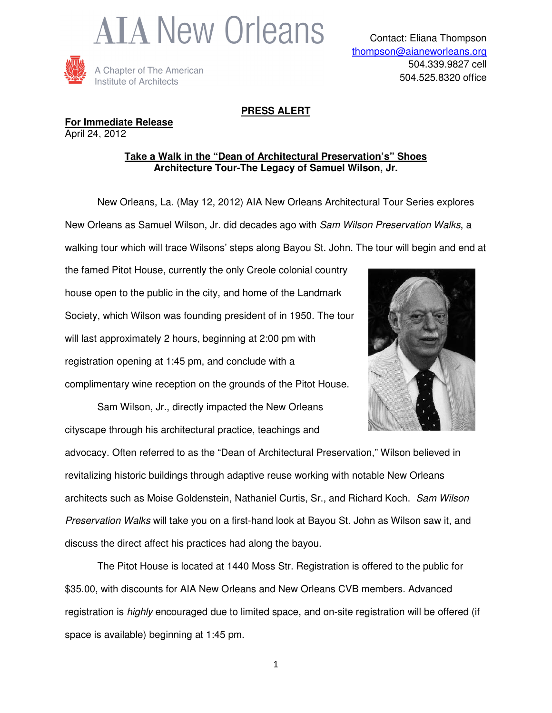



## **PRESS ALERT**

## **For Immediate Release** April 24, 2012

## **Take a Walk in the "Dean of Architectural Preservation's" Shoes Architecture Tour-The Legacy of Samuel Wilson, Jr.**

 New Orleans, La. (May 12, 2012) AIA New Orleans Architectural Tour Series explores New Orleans as Samuel Wilson, Jr. did decades ago with Sam Wilson Preservation Walks, a walking tour which will trace Wilsons' steps along Bayou St. John. The tour will begin and end at

the famed Pitot House, currently the only Creole colonial country house open to the public in the city, and home of the Landmark Society, which Wilson was founding president of in 1950. The tour will last approximately 2 hours, beginning at 2:00 pm with registration opening at 1:45 pm, and conclude with a complimentary wine reception on the grounds of the Pitot House.



Sam Wilson, Jr., directly impacted the New Orleans cityscape through his architectural practice, teachings and

advocacy. Often referred to as the "Dean of Architectural Preservation," Wilson believed in revitalizing historic buildings through adaptive reuse working with notable New Orleans architects such as Moise Goldenstein, Nathaniel Curtis, Sr., and Richard Koch. Sam Wilson Preservation Walks will take you on a first-hand look at Bayou St. John as Wilson saw it, and discuss the direct affect his practices had along the bayou.

The Pitot House is located at 1440 Moss Str. Registration is offered to the public for \$35.00, with discounts for AIA New Orleans and New Orleans CVB members. Advanced registration is *highly* encouraged due to limited space, and on-site registration will be offered (if space is available) beginning at 1:45 pm.